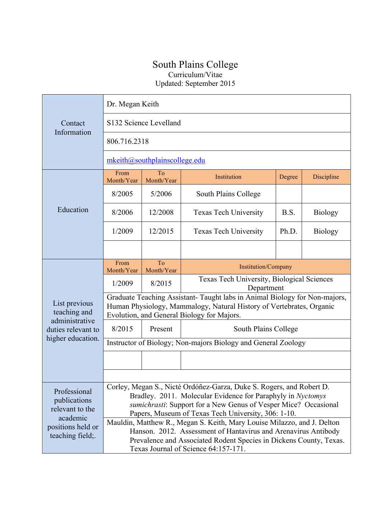## South Plains College Curriculum/Vitae

Updated: September 2015

| Contact<br>Information                                                                              | Dr. Megan Keith                                                                                                                                                                                                                                               |                               |                                                          |        |                |  |
|-----------------------------------------------------------------------------------------------------|---------------------------------------------------------------------------------------------------------------------------------------------------------------------------------------------------------------------------------------------------------------|-------------------------------|----------------------------------------------------------|--------|----------------|--|
|                                                                                                     | S132 Science Levelland                                                                                                                                                                                                                                        |                               |                                                          |        |                |  |
|                                                                                                     | 806.716.2318                                                                                                                                                                                                                                                  |                               |                                                          |        |                |  |
|                                                                                                     | $m$ keith@southplainscollege.edu                                                                                                                                                                                                                              |                               |                                                          |        |                |  |
| Education                                                                                           | From<br>Month/Year                                                                                                                                                                                                                                            | To<br>Month/Year              | Institution                                              | Degree | Discipline     |  |
|                                                                                                     | 8/2005                                                                                                                                                                                                                                                        | 5/2006                        | South Plains College                                     |        |                |  |
|                                                                                                     | 8/2006                                                                                                                                                                                                                                                        | 12/2008                       | <b>Texas Tech University</b>                             | B.S.   | <b>Biology</b> |  |
|                                                                                                     | 1/2009                                                                                                                                                                                                                                                        | 12/2015                       | <b>Texas Tech University</b>                             | Ph.D.  | <b>Biology</b> |  |
|                                                                                                     |                                                                                                                                                                                                                                                               |                               |                                                          |        |                |  |
| List previous<br>teaching and<br>administrative<br>duties relevant to<br>higher education.          | From<br>Month/Year                                                                                                                                                                                                                                            | $\overline{To}$<br>Month/Year | <b>Institution/Company</b>                               |        |                |  |
|                                                                                                     | 1/2009                                                                                                                                                                                                                                                        | 8/2015                        | Texas Tech University, Biological Sciences<br>Department |        |                |  |
|                                                                                                     | Graduate Teaching Assistant- Taught labs in Animal Biology for Non-majors,<br>Human Physiology, Mammalogy, Natural History of Vertebrates, Organic<br>Evolution, and General Biology for Majors.                                                              |                               |                                                          |        |                |  |
|                                                                                                     | 8/2015                                                                                                                                                                                                                                                        | Present                       | South Plains College                                     |        |                |  |
|                                                                                                     | Instructor of Biology; Non-majors Biology and General Zoology                                                                                                                                                                                                 |                               |                                                          |        |                |  |
|                                                                                                     |                                                                                                                                                                                                                                                               |                               |                                                          |        |                |  |
|                                                                                                     |                                                                                                                                                                                                                                                               |                               |                                                          |        |                |  |
| Professional<br>publications<br>relevant to the<br>academic<br>positions held or<br>teaching field; | Corley, Megan S., Nicté Ordóñez-Garza, Duke S. Rogers, and Robert D.<br>Bradley. 2011. Molecular Evidence for Paraphyly in Nyctomys<br>sumichrasti: Support for a New Genus of Vesper Mice? Occasional<br>Papers, Museum of Texas Tech University, 306: 1-10. |                               |                                                          |        |                |  |
|                                                                                                     | Mauldin, Matthew R., Megan S. Keith, Mary Louise Milazzo, and J. Delton<br>Hanson. 2012. Assessment of Hantavirus and Arenavirus Antibody<br>Prevalence and Associated Rodent Species in Dickens County, Texas.<br>Texas Journal of Science 64:157-171.       |                               |                                                          |        |                |  |